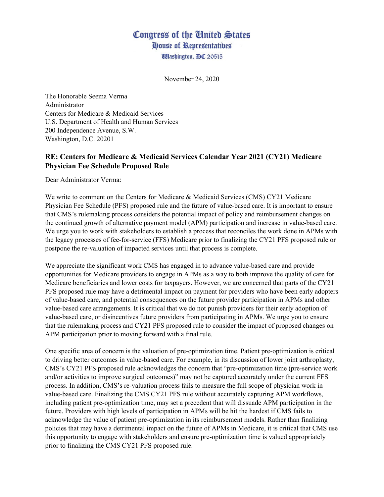## Congress of the United States House of Representatives

**Wlashington, DC 20515** 

November 24, 2020

The Honorable Seema Verma Administrator Centers for Medicare & Medicaid Services U.S. Department of Health and Human Services 200 Independence Avenue, S.W. Washington, D.C. 20201

## **RE: Centers for Medicare & Medicaid Services Calendar Year 2021 (CY21) Medicare Physician Fee Schedule Proposed Rule**

Dear Administrator Verma:

We write to comment on the Centers for Medicare & Medicaid Services (CMS) CY21 Medicare Physician Fee Schedule (PFS) proposed rule and the future of value-based care. It is important to ensure that CMS's rulemaking process considers the potential impact of policy and reimbursement changes on the continued growth of alternative payment model (APM) participation and increase in value-based care. We urge you to work with stakeholders to establish a process that reconciles the work done in APMs with the legacy processes of fee-for-service (FFS) Medicare prior to finalizing the CY21 PFS proposed rule or postpone the re-valuation of impacted services until that process is complete.

We appreciate the significant work CMS has engaged in to advance value-based care and provide opportunities for Medicare providers to engage in APMs as a way to both improve the quality of care for Medicare beneficiaries and lower costs for taxpayers. However, we are concerned that parts of the CY21 PFS proposed rule may have a detrimental impact on payment for providers who have been early adopters of value-based care, and potential consequences on the future provider participation in APMs and other value-based care arrangements. It is critical that we do not punish providers for their early adoption of value-based care, or disincentives future providers from participating in APMs. We urge you to ensure that the rulemaking process and CY21 PFS proposed rule to consider the impact of proposed changes on APM participation prior to moving forward with a final rule.

One specific area of concern is the valuation of pre-optimization time. Patient pre-optimization is critical to driving better outcomes in value-based care. For example, in its discussion of lower joint arthroplasty, CMS's CY21 PFS proposed rule acknowledges the concern that "pre-optimization time (pre-service work and/or activities to improve surgical outcomes)" may not be captured accurately under the current FFS process. In addition, CMS's re-valuation process fails to measure the full scope of physician work in value-based care. Finalizing the CMS CY21 PFS rule without accurately capturing APM workflows, including patient pre-optimization time, may set a precedent that will dissuade APM participation in the future. Providers with high levels of participation in APMs will be hit the hardest if CMS fails to acknowledge the value of patient pre-optimization in its reimbursement models. Rather than finalizing policies that may have a detrimental impact on the future of APMs in Medicare, it is critical that CMS use this opportunity to engage with stakeholders and ensure pre-optimization time is valued appropriately prior to finalizing the CMS CY21 PFS proposed rule.